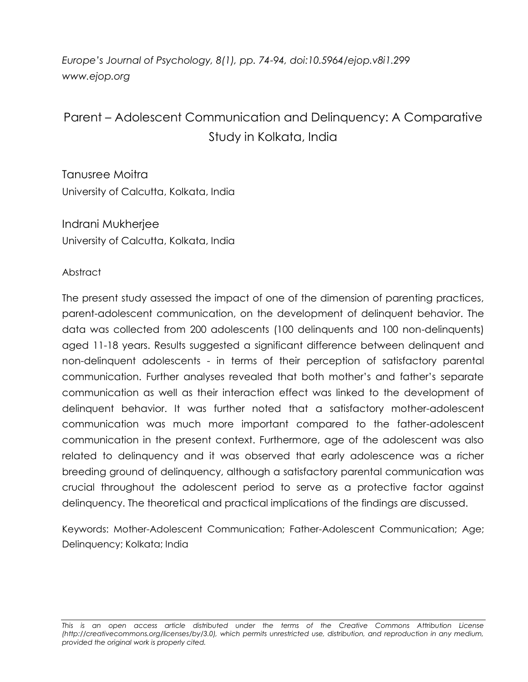*Europe's Journal of Psychology, 8(1), pp. 74-94, doi:10.5964/ejop.v8i1.299 www.ejop.org*

# Parent – Adolescent Communication and Delinquency: A Comparative Study in Kolkata, India

Tanusree Moitra University of Calcutta, Kolkata, India

Indrani Mukherjee University of Calcutta, Kolkata, India

#### Abstract

The present study assessed the impact of one of the dimension of parenting practices, parent-adolescent communication, on the development of delinquent behavior. The data was collected from 200 adolescents (100 delinquents and 100 non-delinquents) aged 11-18 years. Results suggested a significant difference between delinquent and non-delinquent adolescents - in terms of their perception of satisfactory parental communication. Further analyses revealed that both mother"s and father"s separate communication as well as their interaction effect was linked to the development of delinquent behavior. It was further noted that a satisfactory mother-adolescent communication was much more important compared to the father-adolescent communication in the present context. Furthermore, age of the adolescent was also related to delinquency and it was observed that early adolescence was a richer breeding ground of delinquency, although a satisfactory parental communication was crucial throughout the adolescent period to serve as a protective factor against delinquency. The theoretical and practical implications of the findings are discussed.

Keywords: Mother-Adolescent Communication; Father-Adolescent Communication; Age; Delinquency; Kolkata; India

*This is an open access article distributed under the terms of the Creative Commons Attribution License (http://creativecommons.org/licenses/by/3.0), which permits unrestricted use, distribution, and reproduction in any medium, provided the original work is properly cited.*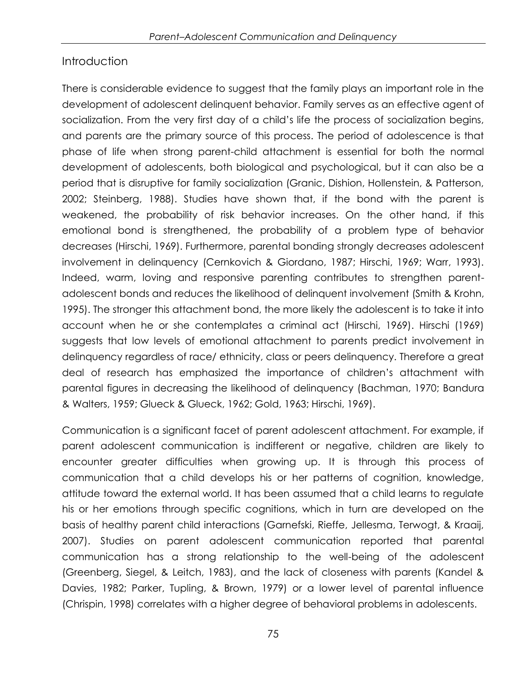# **Introduction**

There is considerable evidence to suggest that the family plays an important role in the development of adolescent delinquent behavior. Family serves as an effective agent of socialization. From the very first day of a child"s life the process of socialization begins, and parents are the primary source of this process. The period of adolescence is that phase of life when strong parent-child attachment is essential for both the normal development of adolescents, both biological and psychological, but it can also be a period that is disruptive for family socialization (Granic, Dishion, Hollenstein, & Patterson, 2002; Steinberg, 1988). Studies have shown that, if the bond with the parent is weakened, the probability of risk behavior increases. On the other hand, if this emotional bond is strengthened, the probability of a problem type of behavior decreases (Hirschi, 1969). Furthermore, parental bonding strongly decreases adolescent involvement in delinquency (Cernkovich & Giordano, 1987; Hirschi, 1969; Warr, 1993). Indeed, warm, loving and responsive parenting contributes to strengthen parentadolescent bonds and reduces the likelihood of delinquent involvement (Smith & Krohn, 1995). The stronger this attachment bond, the more likely the adolescent is to take it into account when he or she contemplates a criminal act (Hirschi, 1969). Hirschi (1969) suggests that low levels of emotional attachment to parents predict involvement in delinquency regardless of race/ ethnicity, class or peers delinquency. Therefore a great deal of research has emphasized the importance of children"s attachment with parental figures in decreasing the likelihood of delinquency (Bachman, 1970; Bandura & Walters, 1959; Glueck & Glueck, 1962; Gold, 1963; Hirschi, 1969).

Communication is a significant facet of parent adolescent attachment. For example, if parent adolescent communication is indifferent or negative, children are likely to encounter greater difficulties when growing up. It is through this process of communication that a child develops his or her patterns of cognition, knowledge, attitude toward the external world. It has been assumed that a child learns to regulate his or her emotions through specific cognitions, which in turn are developed on the basis of healthy parent child interactions (Garnefski, Rieffe, Jellesma, Terwogt, & Kraaij, 2007). Studies on parent adolescent communication reported that parental communication has a strong relationship to the well-being of the adolescent (Greenberg, Siegel, & Leitch, 1983), and the lack of closeness with parents (Kandel & Davies, 1982; Parker, Tupling, & Brown, 1979) or a lower level of parental influence (Chrispin, 1998) correlates with a higher degree of behavioral problems in adolescents.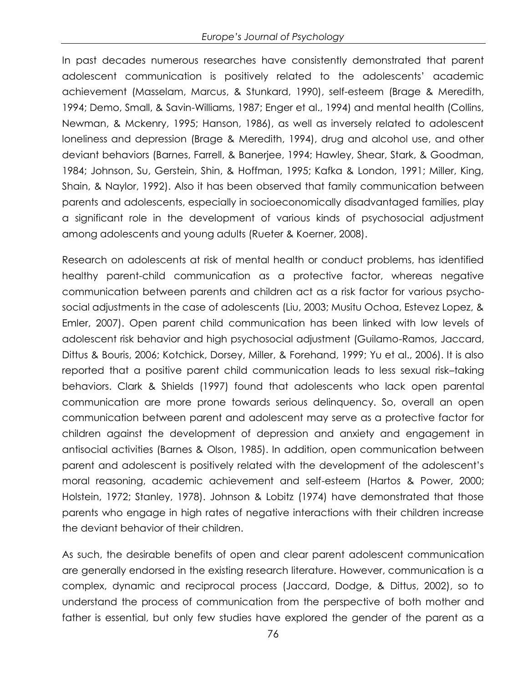In past decades numerous researches have consistently demonstrated that parent adolescent communication is positively related to the adolescents" academic achievement (Masselam, Marcus, & Stunkard, 1990), self-esteem (Brage & Meredith, 1994; Demo, Small, & Savin-Williams, 1987; Enger et al., 1994) and mental health (Collins, Newman, & Mckenry, 1995; Hanson, 1986), as well as inversely related to adolescent loneliness and depression (Brage & Meredith, 1994), drug and alcohol use, and other deviant behaviors (Barnes, Farrell, & Banerjee, 1994; Hawley, Shear, Stark, & Goodman, 1984; Johnson, Su, Gerstein, Shin, & Hoffman, 1995; Kafka & London, 1991; Miller, King, Shain, & Naylor, 1992). Also it has been observed that family communication between parents and adolescents, especially in socioeconomically disadvantaged families, play a significant role in the development of various kinds of psychosocial adjustment among adolescents and young adults (Rueter & Koerner, 2008).

Research on adolescents at risk of mental health or conduct problems, has identified healthy parent-child communication as a protective factor, whereas negative communication between parents and children act as a risk factor for various psychosocial adjustments in the case of adolescents (Liu, 2003; Musitu Ochoa, Estevez Lopez, & Emler, 2007). Open parent child communication has been linked with low levels of adolescent risk behavior and high psychosocial adjustment (Guilamo-Ramos, Jaccard, Dittus & Bouris, 2006; Kotchick, Dorsey, Miller, & Forehand, 1999; Yu et al., 2006). It is also reported that a positive parent child communication leads to less sexual risk–taking behaviors. Clark & Shields (1997) found that adolescents who lack open parental communication are more prone towards serious delinquency. So, overall an open communication between parent and adolescent may serve as a protective factor for children against the development of depression and anxiety and engagement in antisocial activities (Barnes & Olson, 1985). In addition, open communication between parent and adolescent is positively related with the development of the adolescent"s moral reasoning, academic achievement and self-esteem (Hartos & Power, 2000; Holstein, 1972; Stanley, 1978). Johnson & Lobitz (1974) have demonstrated that those parents who engage in high rates of negative interactions with their children increase the deviant behavior of their children.

As such, the desirable benefits of open and clear parent adolescent communication are generally endorsed in the existing research literature. However, communication is a complex, dynamic and reciprocal process (Jaccard, Dodge, & Dittus, 2002), so to understand the process of communication from the perspective of both mother and father is essential, but only few studies have explored the gender of the parent as a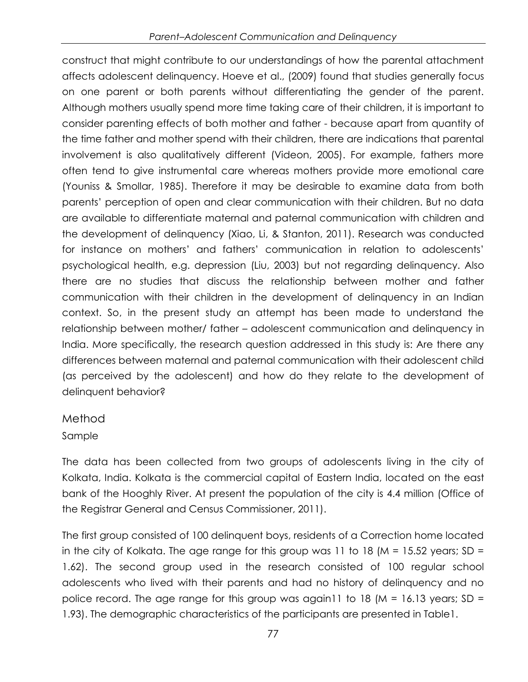construct that might contribute to our understandings of how the parental attachment affects adolescent delinquency. Hoeve et al., (2009) found that studies generally focus on one parent or both parents without differentiating the gender of the parent. Although mothers usually spend more time taking care of their children, it is important to consider parenting effects of both mother and father - because apart from quantity of the time father and mother spend with their children, there are indications that parental involvement is also qualitatively different (Videon, 2005). For example, fathers more often tend to give instrumental care whereas mothers provide more emotional care (Youniss & Smollar, 1985). Therefore it may be desirable to examine data from both parents" perception of open and clear communication with their children. But no data are available to differentiate maternal and paternal communication with children and the development of delinquency (Xiao, Li, & Stanton, 2011). Research was conducted for instance on mothers" and fathers" communication in relation to adolescents" psychological health, e.g. depression (Liu, 2003) but not regarding delinquency. Also there are no studies that discuss the relationship between mother and father communication with their children in the development of delinquency in an Indian context. So, in the present study an attempt has been made to understand the relationship between mother/ father – adolescent communication and delinquency in India. More specifically, the research question addressed in this study is: Are there any differences between maternal and paternal communication with their adolescent child (as perceived by the adolescent) and how do they relate to the development of delinquent behavior?

## Method

## Sample

The data has been collected from two groups of adolescents living in the city of Kolkata, India. Kolkata is the commercial capital of Eastern India, located on the east bank of the Hooghly River. At present the population of the city is 4.4 million (Office of the Registrar General and Census Commissioner, 2011).

The first group consisted of 100 delinquent boys, residents of a Correction home located in the city of Kolkata. The age range for this group was 11 to 18 ( $M = 15.52$  years; SD = 1.62). The second group used in the research consisted of 100 regular school adolescents who lived with their parents and had no history of delinquency and no police record. The age range for this group was again11 to 18 ( $M = 16.13$  years; SD = 1.93). The demographic characteristics of the participants are presented in Table1.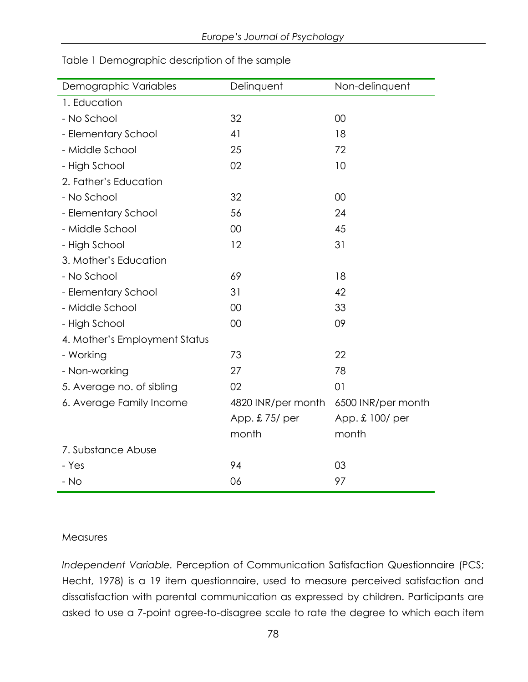| Demographic Variables         | Delinquent         | Non-delinquent     |
|-------------------------------|--------------------|--------------------|
| 1. Education                  |                    |                    |
| - No School                   | 32                 | 00                 |
| - Elementary School           | 41                 | 18                 |
| - Middle School               | 25                 | 72                 |
| - High School                 | 02                 | 10                 |
| 2. Father's Education         |                    |                    |
| - No School                   | 32                 | 00                 |
| - Elementary School           | 56                 | 24                 |
| - Middle School               | 00                 | 45                 |
| - High School                 | 12                 | 31                 |
| 3. Mother's Education         |                    |                    |
| - No School                   | 69                 | 18                 |
| - Elementary School           | 31                 | 42                 |
| - Middle School               | 00                 | 33                 |
| - High School                 | 00                 | 09                 |
| 4. Mother's Employment Status |                    |                    |
| - Working                     | 73                 | 22                 |
| - Non-working                 | 27                 | 78                 |
| 5. Average no. of sibling     | 02                 | 01                 |
| 6. Average Family Income      | 4820 INR/per month | 6500 INR/per month |
|                               | App. £75/ per      | App. £ 100/ per    |
|                               | month              | month              |
| 7. Substance Abuse            |                    |                    |
| - Yes                         | 94                 | 03                 |
| $-$ No                        | 06                 | 97                 |

Table 1 Demographic description of the sample

#### Measures

*Independent Variable.* Perception of Communication Satisfaction Questionnaire (PCS; Hecht, 1978) is a 19 item questionnaire, used to measure perceived satisfaction and dissatisfaction with parental communication as expressed by children. Participants are asked to use a 7-point agree-to-disagree scale to rate the degree to which each item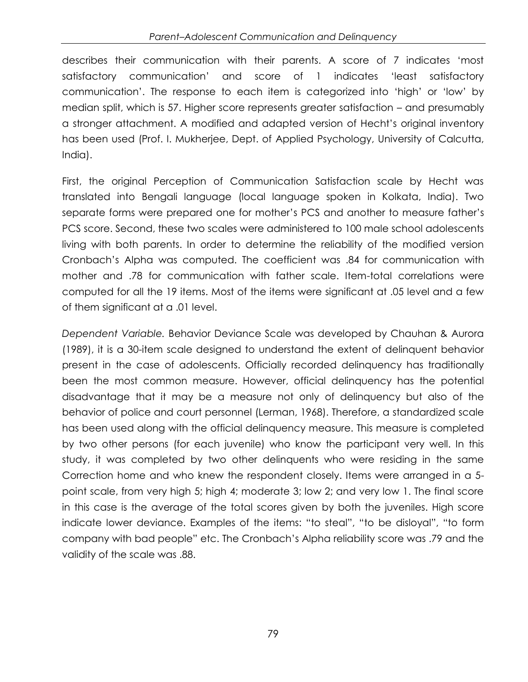describes their communication with their parents. A score of 7 indicates "most satisfactory communication" and score of 1 indicates "least satisfactory communication". The response to each item is categorized into "high" or "low" by median split, which is 57. Higher score represents greater satisfaction – and presumably a stronger attachment. A modified and adapted version of Hecht"s original inventory has been used (Prof. I. Mukherjee, Dept. of Applied Psychology, University of Calcutta, India).

First, the original Perception of Communication Satisfaction scale by Hecht was translated into Bengali language (local language spoken in Kolkata, India). Two separate forms were prepared one for mother"s PCS and another to measure father"s PCS score. Second, these two scales were administered to 100 male school adolescents living with both parents. In order to determine the reliability of the modified version Cronbach"s Alpha was computed. The coefficient was .84 for communication with mother and .78 for communication with father scale. Item-total correlations were computed for all the 19 items. Most of the items were significant at .05 level and a few of them significant at a .01 level.

*Dependent Variable.* Behavior Deviance Scale was developed by Chauhan & Aurora (1989), it is a 30-item scale designed to understand the extent of delinquent behavior present in the case of adolescents. Officially recorded delinquency has traditionally been the most common measure. However, official delinquency has the potential disadvantage that it may be a measure not only of delinquency but also of the behavior of police and court personnel (Lerman, 1968). Therefore, a standardized scale has been used along with the official delinquency measure. This measure is completed by two other persons (for each juvenile) who know the participant very well. In this study, it was completed by two other delinquents who were residing in the same Correction home and who knew the respondent closely. Items were arranged in a 5 point scale, from very high 5; high 4; moderate 3; low 2; and very low 1. The final score in this case is the average of the total scores given by both the juveniles. High score indicate lower deviance. Examples of the items: "to steal", "to be disloyal", "to form company with bad people" etc. The Cronbach"s Alpha reliability score was .79 and the validity of the scale was .88.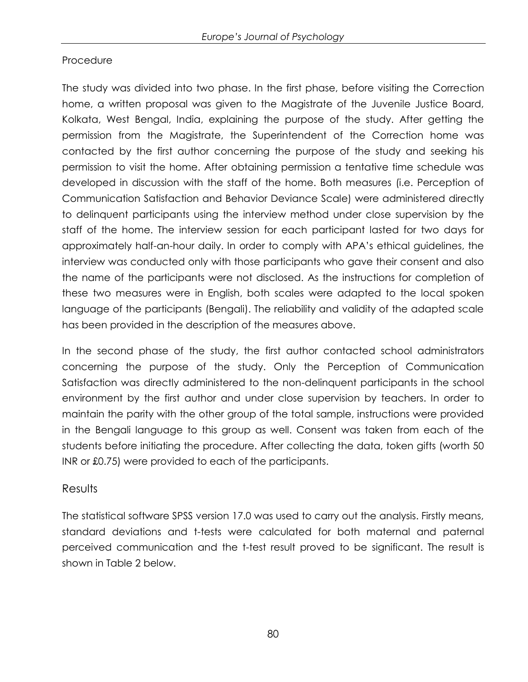### Procedure

The study was divided into two phase. In the first phase, before visiting the Correction home, a written proposal was given to the Magistrate of the Juvenile Justice Board, Kolkata, West Bengal, India, explaining the purpose of the study. After getting the permission from the Magistrate, the Superintendent of the Correction home was contacted by the first author concerning the purpose of the study and seeking his permission to visit the home. After obtaining permission a tentative time schedule was developed in discussion with the staff of the home. Both measures (i.e. Perception of Communication Satisfaction and Behavior Deviance Scale) were administered directly to delinquent participants using the interview method under close supervision by the staff of the home. The interview session for each participant lasted for two days for approximately half-an-hour daily. In order to comply with APA"s ethical guidelines, the interview was conducted only with those participants who gave their consent and also the name of the participants were not disclosed. As the instructions for completion of these two measures were in English, both scales were adapted to the local spoken language of the participants (Bengali). The reliability and validity of the adapted scale has been provided in the description of the measures above.

In the second phase of the study, the first author contacted school administrators concerning the purpose of the study. Only the Perception of Communication Satisfaction was directly administered to the non-delinquent participants in the school environment by the first author and under close supervision by teachers. In order to maintain the parity with the other group of the total sample, instructions were provided in the Bengali language to this group as well. Consent was taken from each of the students before initiating the procedure. After collecting the data, token gifts (worth 50 INR or £0.75) were provided to each of the participants.

## Results

The statistical software SPSS version 17.0 was used to carry out the analysis. Firstly means, standard deviations and t-tests were calculated for both maternal and paternal perceived communication and the t-test result proved to be significant. The result is shown in Table 2 below.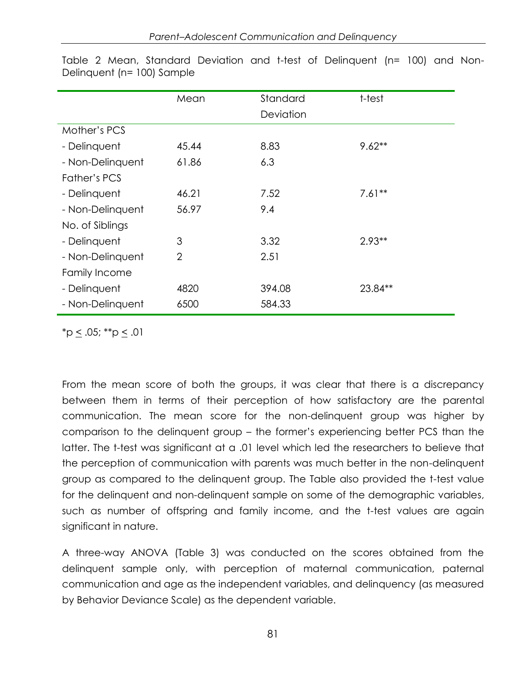|                  | Mean           | Standard  | t-test   |
|------------------|----------------|-----------|----------|
|                  |                | Deviation |          |
| Mother's PCS     |                |           |          |
| - Delinquent     | 45.44          | 8.83      | $9.62**$ |
| - Non-Delinquent | 61.86          | 6.3       |          |
| Father's PCS     |                |           |          |
| - Delinquent     | 46.21          | 7.52      | $7.61**$ |
| - Non-Delinquent | 56.97          | 9.4       |          |
| No. of Siblings  |                |           |          |
| - Delinquent     | 3              | 3.32      | $2.93**$ |
| - Non-Delinquent | $\overline{2}$ | 2.51      |          |
| Family Income    |                |           |          |
| - Delinquent     | 4820           | 394.08    | 23.84**  |
| - Non-Delinquent | 6500           | 584.33    |          |

Table 2 Mean, Standard Deviation and t-test of Delinquent (n= 100) and Non-Delinquent (n= 100) Sample

 $*p \le .05; **p \le .01$ 

From the mean score of both the groups, it was clear that there is a discrepancy between them in terms of their perception of how satisfactory are the parental communication. The mean score for the non-delinquent group was higher by comparison to the delinquent group – the former"s experiencing better PCS than the latter. The t-test was significant at a .01 level which led the researchers to believe that the perception of communication with parents was much better in the non-delinquent group as compared to the delinquent group. The Table also provided the t-test value for the delinquent and non-delinquent sample on some of the demographic variables, such as number of offspring and family income, and the t-test values are again significant in nature.

A three-way ANOVA (Table 3) was conducted on the scores obtained from the delinquent sample only, with perception of maternal communication, paternal communication and age as the independent variables, and delinquency (as measured by Behavior Deviance Scale) as the dependent variable.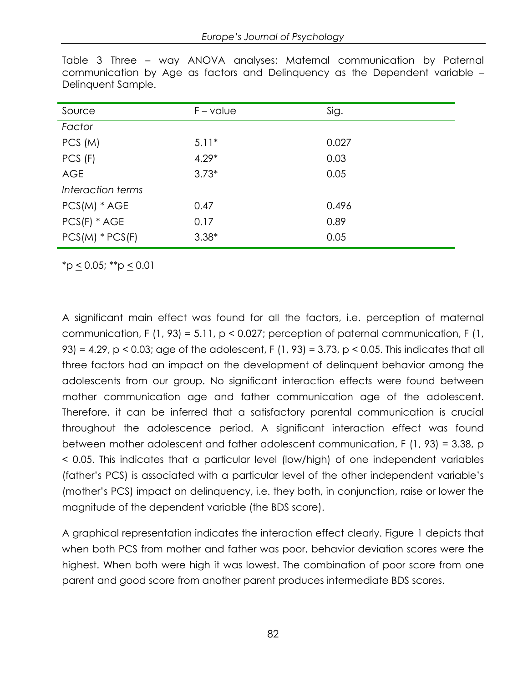| $F - value$ | Sig.  |
|-------------|-------|
|             |       |
| $5.11*$     | 0.027 |
| $4.29*$     | 0.03  |
| $3.73*$     | 0.05  |
|             |       |
| 0.47        | 0.496 |
| 0.17        | 0.89  |
| $3.38*$     | 0.05  |
|             |       |

Table 3 Three – way ANOVA analyses: Maternal communication by Paternal communication by Age as factors and Delinquency as the Dependent variable – Delinquent Sample.

 $^*p \leq 0.05; ^{**}p \leq 0.01$ 

A significant main effect was found for all the factors, i.e. perception of maternal communication, F (1, 93) = 5.11, p < 0.027; perception of paternal communication, F (1, 93) = 4.29, p < 0.03; age of the adolescent, F (1, 93) = 3.73, p < 0.05. This indicates that all three factors had an impact on the development of delinquent behavior among the adolescents from our group. No significant interaction effects were found between mother communication age and father communication age of the adolescent. Therefore, it can be inferred that a satisfactory parental communication is crucial throughout the adolescence period. A significant interaction effect was found between mother adolescent and father adolescent communication, F (1, 93) = 3.38, p < 0.05. This indicates that a particular level (low/high) of one independent variables (father"s PCS) is associated with a particular level of the other independent variable"s (mother"s PCS) impact on delinquency, i.e. they both, in conjunction, raise or lower the magnitude of the dependent variable (the BDS score).

A graphical representation indicates the interaction effect clearly. Figure 1 depicts that when both PCS from mother and father was poor, behavior deviation scores were the highest. When both were high it was lowest. The combination of poor score from one parent and good score from another parent produces intermediate BDS scores.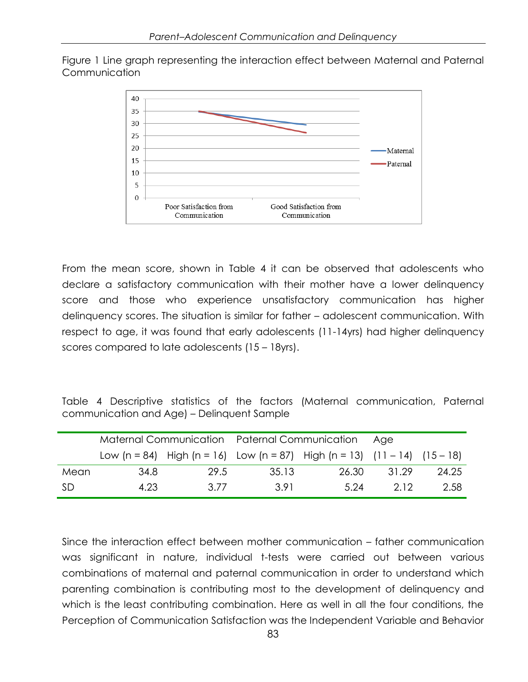Figure 1 Line graph representing the interaction effect between Maternal and Paternal Communication



From the mean score, shown in Table 4 it can be observed that adolescents who declare a satisfactory communication with their mother have a lower delinquency score and those who experience unsatisfactory communication has higher delinquency scores. The situation is similar for father – adolescent communication. With respect to age, it was found that early adolescents (11-14yrs) had higher delinquency scores compared to late adolescents (15 – 18yrs).

Table 4 Descriptive statistics of the factors (Maternal communication, Paternal communication and Age) – Delinquent Sample

|      | Maternal Communication Paternal Communication |      |       |                                                                               | - Aae |       |
|------|-----------------------------------------------|------|-------|-------------------------------------------------------------------------------|-------|-------|
|      |                                               |      |       | Low (n = 84) High (n = 16) Low (n = 87) High (n = 13) $(11 - 14)$ $(15 - 18)$ |       |       |
| Mean | 34.8                                          | 29.5 | 35.13 | 26.30                                                                         | 31.29 | 24.25 |
| -SD  | 4.23                                          | 3.77 | 3.91  | 5.24                                                                          | 212   | 2.58  |

Since the interaction effect between mother communication – father communication was significant in nature, individual t-tests were carried out between various combinations of maternal and paternal communication in order to understand which parenting combination is contributing most to the development of delinquency and which is the least contributing combination. Here as well in all the four conditions, the Perception of Communication Satisfaction was the Independent Variable and Behavior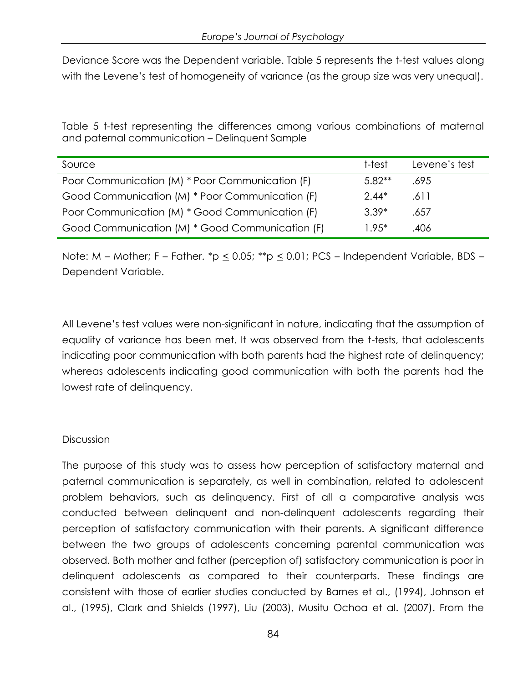Deviance Score was the Dependent variable. Table 5 represents the t-test values along with the Levene's test of homogeneity of variance (as the group size was very unequal).

Table 5 t-test representing the differences among various combinations of maternal and paternal communication – Delinquent Sample

| Source                                          | t-test   | Levene's test |
|-------------------------------------------------|----------|---------------|
| Poor Communication (M) * Poor Communication (F) | $5.82**$ | .695          |
| Good Communication (M) * Poor Communication (F) | $2.44*$  | .611          |
| Poor Communication (M) * Good Communication (F) | $3.39*$  | .657          |
| Good Communication (M) * Good Communication (F) | $1.95*$  | .406          |

Note: M – Mother; F – Father. \*p  $\leq$  0.05; \*\*p  $\leq$  0.01; PCS – Independent Variable, BDS – Dependent Variable.

All Levene"s test values were non-significant in nature, indicating that the assumption of equality of variance has been met. It was observed from the t-tests, that adolescents indicating poor communication with both parents had the highest rate of delinquency; whereas adolescents indicating good communication with both the parents had the lowest rate of delinquency.

#### **Discussion**

The purpose of this study was to assess how perception of satisfactory maternal and paternal communication is separately, as well in combination, related to adolescent problem behaviors, such as delinquency. First of all a comparative analysis was conducted between delinquent and non-delinquent adolescents regarding their perception of satisfactory communication with their parents. A significant difference between the two groups of adolescents concerning parental communication was observed. Both mother and father (perception of) satisfactory communication is poor in delinquent adolescents as compared to their counterparts. These findings are consistent with those of earlier studies conducted by Barnes et al., (1994), Johnson et al., (1995), Clark and Shields (1997), Liu (2003), Musitu Ochoa et al. (2007). From the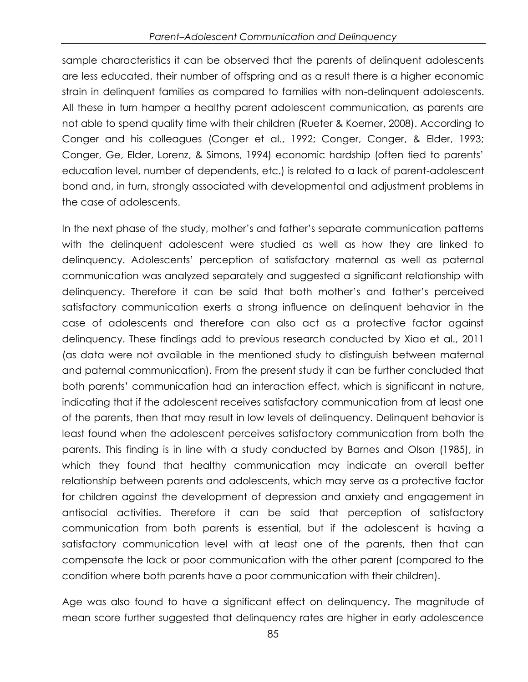sample characteristics it can be observed that the parents of delinquent adolescents are less educated, their number of offspring and as a result there is a higher economic strain in delinquent families as compared to families with non-delinquent adolescents. All these in turn hamper a healthy parent adolescent communication, as parents are not able to spend quality time with their children (Rueter & Koerner, 2008). According to Conger and his colleagues (Conger et al., 1992; Conger, Conger, & Elder, 1993; Conger, Ge, Elder, Lorenz, & Simons, 1994) economic hardship (often tied to parents" education level, number of dependents, etc.) is related to a lack of parent-adolescent bond and, in turn, strongly associated with developmental and adjustment problems in the case of adolescents.

In the next phase of the study, mother"s and father"s separate communication patterns with the delinquent adolescent were studied as well as how they are linked to delinquency. Adolescents" perception of satisfactory maternal as well as paternal communication was analyzed separately and suggested a significant relationship with delinquency. Therefore it can be said that both mother"s and father"s perceived satisfactory communication exerts a strong influence on delinquent behavior in the case of adolescents and therefore can also act as a protective factor against delinquency. These findings add to previous research conducted by Xiao et al., 2011 (as data were not available in the mentioned study to distinguish between maternal and paternal communication). From the present study it can be further concluded that both parents" communication had an interaction effect, which is significant in nature, indicating that if the adolescent receives satisfactory communication from at least one of the parents, then that may result in low levels of delinquency. Delinquent behavior is least found when the adolescent perceives satisfactory communication from both the parents. This finding is in line with a study conducted by Barnes and Olson (1985), in which they found that healthy communication may indicate an overall better relationship between parents and adolescents, which may serve as a protective factor for children against the development of depression and anxiety and engagement in antisocial activities. Therefore it can be said that perception of satisfactory communication from both parents is essential, but if the adolescent is having a satisfactory communication level with at least one of the parents, then that can compensate the lack or poor communication with the other parent (compared to the condition where both parents have a poor communication with their children).

Age was also found to have a significant effect on delinquency. The magnitude of mean score further suggested that delinquency rates are higher in early adolescence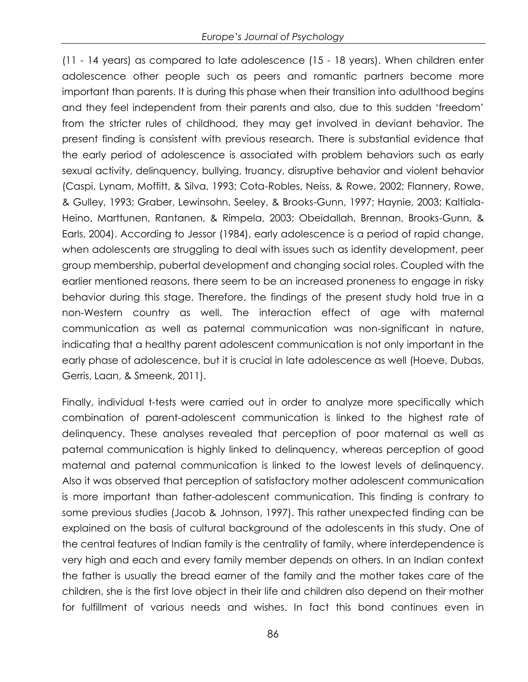(11 - 14 years) as compared to late adolescence (15 - 18 years). When children enter adolescence other people such as peers and romantic partners become more important than parents. It is during this phase when their transition into adulthood begins and they feel independent from their parents and also, due to this sudden "freedom" from the stricter rules of childhood, they may get involved in deviant behavior. The present finding is consistent with previous research. There is substantial evidence that the early period of adolescence is associated with problem behaviors such as early sexual activity, delinquency, bullying, truancy, disruptive behavior and violent behavior (Caspi, Lynam, Moffitt, & Silva, 1993; Cota-Robles, Neiss, & Rowe, 2002; Flannery, Rowe, & Gulley, 1993; Graber, Lewinsohn, Seeley, & Brooks-Gunn, 1997; Haynie, 2003; Kaltiala-Heino, Marttunen, Rantanen, & Rimpela, 2003; Obeidallah, Brennan, Brooks-Gunn, & Earls, 2004). According to Jessor (1984), early adolescence is a period of rapid change, when adolescents are struggling to deal with issues such as identity development, peer group membership, pubertal development and changing social roles. Coupled with the earlier mentioned reasons, there seem to be an increased proneness to engage in risky behavior during this stage. Therefore, the findings of the present study hold true in a non-Western country as well. The interaction effect of age with maternal communication as well as paternal communication was non-significant in nature, indicating that a healthy parent adolescent communication is not only important in the early phase of adolescence, but it is crucial in late adolescence as well (Hoeve, Dubas, Gerris, Laan, & Smeenk, 2011).

Finally, individual t-tests were carried out in order to analyze more specifically which combination of parent-adolescent communication is linked to the highest rate of delinquency. These analyses revealed that perception of poor maternal as well as paternal communication is highly linked to delinquency, whereas perception of good maternal and paternal communication is linked to the lowest levels of delinquency. Also it was observed that perception of satisfactory mother adolescent communication is more important than father-adolescent communication. This finding is contrary to some previous studies (Jacob & Johnson, 1997). This rather unexpected finding can be explained on the basis of cultural background of the adolescents in this study. One of the central features of Indian family is the centrality of family, where interdependence is very high and each and every family member depends on others. In an Indian context the father is usually the bread earner of the family and the mother takes care of the children, she is the first love object in their life and children also depend on their mother for fulfillment of various needs and wishes. In fact this bond continues even in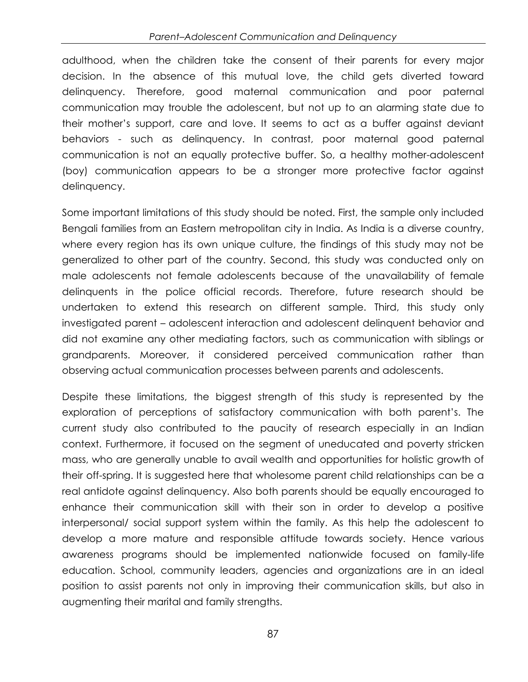#### *Parent–Adolescent Communication and Delinquency*

adulthood, when the children take the consent of their parents for every major decision. In the absence of this mutual love, the child gets diverted toward delinquency. Therefore, good maternal communication and poor paternal communication may trouble the adolescent, but not up to an alarming state due to their mother"s support, care and love. It seems to act as a buffer against deviant behaviors - such as delinquency. In contrast, poor maternal good paternal communication is not an equally protective buffer. So, a healthy mother-adolescent (boy) communication appears to be a stronger more protective factor against delinquency.

Some important limitations of this study should be noted. First, the sample only included Bengali families from an Eastern metropolitan city in India. As India is a diverse country, where every region has its own unique culture, the findings of this study may not be generalized to other part of the country. Second, this study was conducted only on male adolescents not female adolescents because of the unavailability of female delinquents in the police official records. Therefore, future research should be undertaken to extend this research on different sample. Third, this study only investigated parent – adolescent interaction and adolescent delinquent behavior and did not examine any other mediating factors, such as communication with siblings or grandparents. Moreover, it considered perceived communication rather than observing actual communication processes between parents and adolescents.

Despite these limitations, the biggest strength of this study is represented by the exploration of perceptions of satisfactory communication with both parent"s. The current study also contributed to the paucity of research especially in an Indian context. Furthermore, it focused on the segment of uneducated and poverty stricken mass, who are generally unable to avail wealth and opportunities for holistic growth of their off-spring. It is suggested here that wholesome parent child relationships can be a real antidote against delinquency. Also both parents should be equally encouraged to enhance their communication skill with their son in order to develop a positive interpersonal/ social support system within the family. As this help the adolescent to develop a more mature and responsible attitude towards society. Hence various awareness programs should be implemented nationwide focused on family-life education. School, community leaders, agencies and organizations are in an ideal position to assist parents not only in improving their communication skills, but also in augmenting their marital and family strengths.

87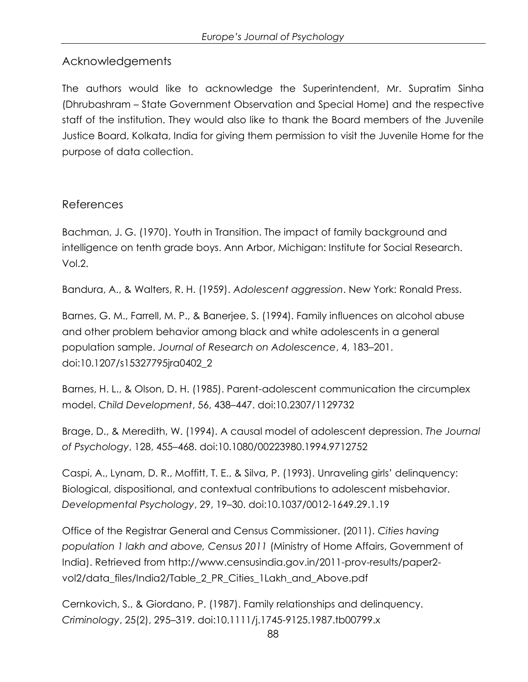## Acknowledgements

The authors would like to acknowledge the Superintendent, Mr. Supratim Sinha (Dhrubashram – State Government Observation and Special Home) and the respective staff of the institution. They would also like to thank the Board members of the Juvenile Justice Board, Kolkata, India for giving them permission to visit the Juvenile Home for the purpose of data collection.

### References

Bachman, J. G. (1970). Youth in Transition. The impact of family background and intelligence on tenth grade boys. Ann Arbor, Michigan: Institute for Social Research. Vol.2.

Bandura, A., & Walters, R. H. (1959). *Adolescent aggression*. New York: Ronald Press.

Barnes, G. M., Farrell, M. P., & Banerjee, S. (1994). Family influences on alcohol abuse and other problem behavior among black and white adolescents in a general population sample. *Journal of Research on Adolescence*, 4, 183–201. [doi:10.1207/s15327795jra0402\\_2](http://dx.doi.org/10.1207/s15327795jra0402_2)

Barnes, H. L., & Olson, D. H. (1985). Parent-adolescent communication the circumplex model. *Child Development*, 56, 438–447. [doi:10.2307/1129732](http://dx.doi.org/10.2307/1129732)

Brage, D., & Meredith, W. (1994). A causal model of adolescent depression. *The Journal of Psychology*, 128, 455–468. [doi:10.1080/00223980.1994.9712752](http://dx.doi.org/10.1080/00223980.1994.9712752)

Caspi, A., Lynam, D. R., Moffitt, T. E., & Silva, P. (1993). Unraveling girls" delinquency: Biological, dispositional, and contextual contributions to adolescent misbehavior. *Developmental Psychology*, 29, 19–30. [doi:10.1037/0012-1649.29.1.19](http://dx.doi.org/10.1037/0012-1649.29.1.19)

Office of the Registrar General and Census Commissioner. (2011). *Cities having population 1 lakh and above, Census 2011* (Ministry of Home Affairs, Government of India). Retrieved from http://www.censusindia.gov.in/2011-prov-results/paper2 vol2/data\_files/India2/Table\_2\_PR\_Cities\_1Lakh\_and\_Above.pdf

Cernkovich, S., & Giordano, P. (1987). Family relationships and delinquency. *Criminology*, 25(2), 295–319. [doi:10.1111/j.1745-9125.1987.tb00799.x](http://dx.doi.org/10.1111/j.1745-9125.1987.tb00799.x)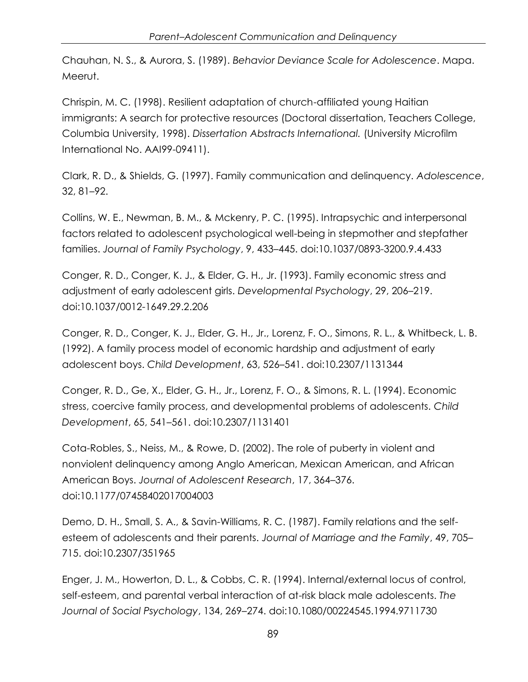Chauhan, N. S., & Aurora, S. (1989). *Behavior Deviance Scale for Adolescence*. Mapa. Meerut.

Chrispin, M. C. (1998). Resilient adaptation of church-affiliated young Haitian immigrants: A search for protective resources (Doctoral dissertation, Teachers College, Columbia University, 1998). *Dissertation Abstracts International.* (University Microfilm International No. AAI99-09411).

Clark, R. D., & Shields, G. (1997). Family communication and delinquency. *Adolescence*, 32, 81–92.

Collins, W. E., Newman, B. M., & Mckenry, P. C. (1995). Intrapsychic and interpersonal factors related to adolescent psychological well-being in stepmother and stepfather families. *Journal of Family Psychology*, 9, 433–445. [doi:10.1037/0893-3200.9.4.433](http://dx.doi.org/10.1037/0893-3200.9.4.433)

Conger, R. D., Conger, K. J., & Elder, G. H., Jr. (1993). Family economic stress and adjustment of early adolescent girls. *Developmental Psychology*, 29, 206–219. [doi:10.1037/0012-1649.29.2.206](http://dx.doi.org/10.1037/0012-1649.29.2.206)

Conger, R. D., Conger, K. J., Elder, G. H., Jr., Lorenz, F. O., Simons, R. L., & Whitbeck, L. B. (1992). A family process model of economic hardship and adjustment of early adolescent boys. *Child Development*, 63, 526–541. [doi:10.2307/1131344](http://dx.doi.org/10.2307/1131344)

Conger, R. D., Ge, X., Elder, G. H., Jr., Lorenz, F. O., & Simons, R. L. (1994). Economic stress, coercive family process, and developmental problems of adolescents. *Child Development*, 65, 541–561. [doi:10.2307/1131401](http://dx.doi.org/10.2307/1131401)

Cota-Robles, S., Neiss, M., & Rowe, D. (2002). The role of puberty in violent and nonviolent delinquency among Anglo American, Mexican American, and African American Boys. *Journal of Adolescent Research*, 17, 364–376. [doi:10.1177/07458402017004003](http://dx.doi.org/10.1177/07458402017004003)

Demo, D. H., Small, S. A., & Savin-Williams, R. C. (1987). Family relations and the selfesteem of adolescents and their parents. *Journal of Marriage and the Family*, 49, 705– 715. [doi:10.2307/351965](http://dx.doi.org/10.2307/351965)

Enger, J. M., Howerton, D. L., & Cobbs, C. R. (1994). Internal/external locus of control, self-esteem, and parental verbal interaction of at-risk black male adolescents. *The Journal of Social Psychology*, 134, 269–274. [doi:10.1080/00224545.1994.9711730](http://dx.doi.org/10.1080/00224545.1994.9711730)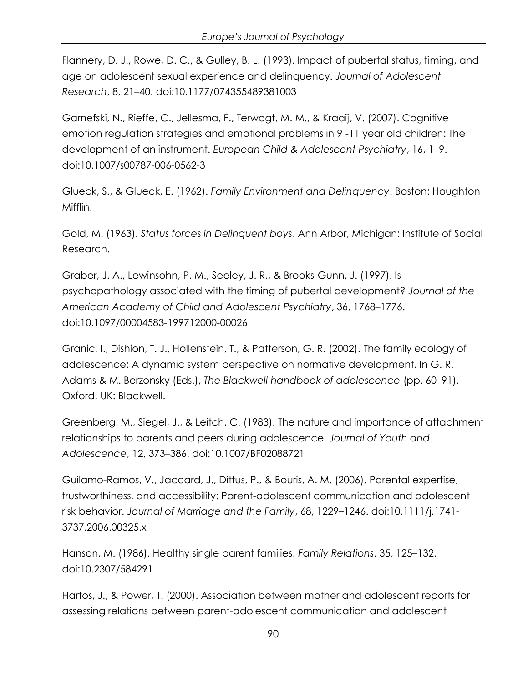Flannery, D. J., Rowe, D. C., & Gulley, B. L. (1993). Impact of pubertal status, timing, and age on adolescent sexual experience and delinquency. *Journal of Adolescent Research*, 8, 21–40. [doi:10.1177/074355489381003](http://dx.doi.org/10.1177/074355489381003)

Garnefski, N., Rieffe, C., Jellesma, F., Terwogt, M. M., & Kraaij, V. (2007). Cognitive emotion regulation strategies and emotional problems in 9 -11 year old children: The development of an instrument. *European Child & Adolescent Psychiatry*, 16, 1–9. [doi:10.1007/s00787-006-0562-3](http://dx.doi.org/10.1007/s00787-006-0562-3)

Glueck, S., & Glueck, E. (1962). *Family Environment and Delinquency*. Boston: Houghton Mifflin.

Gold, M. (1963). *Status forces in Delinquent boys*. Ann Arbor, Michigan: Institute of Social Research.

Graber, J. A., Lewinsohn, P. M., Seeley, J. R., & Brooks-Gunn, J. (1997). Is psychopathology associated with the timing of pubertal development? *Journal of the American Academy of Child and Adolescent Psychiatry*, 36, 1768–1776. [doi:10.1097/00004583-199712000-00026](http://dx.doi.org/10.1097/00004583-199712000-00026)

Granic, I., Dishion, T. J., Hollenstein, T., & Patterson, G. R. (2002). The family ecology of adolescence: A dynamic system perspective on normative development. In G. R. Adams & M. Berzonsky (Eds.), *The Blackwell handbook of adolescence* (pp. 60–91). Oxford, UK: Blackwell.

Greenberg, M., Siegel, J., & Leitch, C. (1983). The nature and importance of attachment relationships to parents and peers during adolescence. *Journal of Youth and Adolescence*, 12, 373–386. [doi:10.1007/BF02088721](http://dx.doi.org/10.1007/BF02088721)

Guilamo-Ramos, V., Jaccard, J., Dittus, P., & Bouris, A. M. (2006). Parental expertise, trustworthiness, and accessibility: Parent-adolescent communication and adolescent risk behavior. *Journal of Marriage and the Family*, 68, 1229–1246. [doi:10.1111/j.1741-](http://dx.doi.org/10.1111/j.1741-3737.2006.00325.x) [3737.2006.00325.x](http://dx.doi.org/10.1111/j.1741-3737.2006.00325.x)

Hanson, M. (1986). Healthy single parent families. *Family Relations*, 35, 125–132. [doi:10.2307/584291](http://dx.doi.org/10.2307/584291)

Hartos, J., & Power, T. (2000). Association between mother and adolescent reports for assessing relations between parent-adolescent communication and adolescent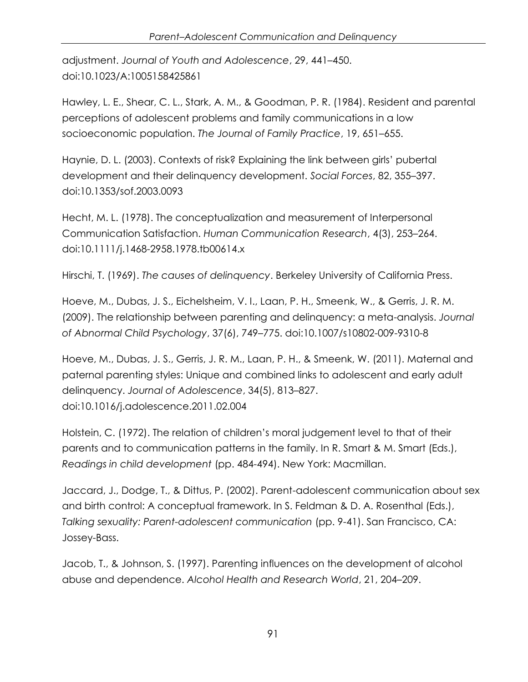adjustment. *Journal of Youth and Adolescence*, 29, 441–450. [doi:10.1023/A:1005158425861](http://dx.doi.org/10.1023/A:1005158425861)

Hawley, L. E., Shear, C. L., Stark, A. M., & Goodman, P. R. (1984). Resident and parental perceptions of adolescent problems and family communications in a low socioeconomic population. *The Journal of Family Practice*, 19, 651–655.

Haynie, D. L. (2003). Contexts of risk? Explaining the link between girls" pubertal development and their delinquency development. *Social Forces*, 82, 355–397. [doi:10.1353/sof.2003.0093](http://dx.doi.org/10.1353/sof.2003.0093)

Hecht, M. L. (1978). The conceptualization and measurement of Interpersonal Communication Satisfaction. *Human Communication Research*, 4(3), 253–264. [doi:10.1111/j.1468-2958.1978.tb00614.x](http://dx.doi.org/10.1111/j.1468-2958.1978.tb00614.x)

Hirschi, T. (1969). *The causes of delinquency*. Berkeley University of California Press.

Hoeve, M., Dubas, J. S., Eichelsheim, V. I., Laan, P. H., Smeenk, W., & Gerris, J. R. M. (2009). The relationship between parenting and delinquency: a meta-analysis. *Journal of Abnormal Child Psychology*, 37(6), 749–775. [doi:10.1007/s10802-009-9310-8](http://dx.doi.org/10.1007/s10802-009-9310-8)

Hoeve, M., Dubas, J. S., Gerris, J. R. M., Laan, P. H., & Smeenk, W. (2011). Maternal and paternal parenting styles: Unique and combined links to adolescent and early adult delinquency. *Journal of Adolescence*, 34(5), 813–827. [doi:10.1016/j.adolescence.2011.02.004](http://dx.doi.org/10.1016/j.adolescence.2011.02.004)

Holstein, C. (1972). The relation of children"s moral judgement level to that of their parents and to communication patterns in the family. In R. Smart & M. Smart (Eds.), *Readings in child development* (pp. 484-494). New York: Macmillan.

Jaccard, J., Dodge, T., & Dittus, P. (2002). Parent-adolescent communication about sex and birth control: A conceptual framework. In S. Feldman & D. A. Rosenthal (Eds.), *Talking sexuality: Parent-adolescent communication* (pp. 9-41). San Francisco, CA: Jossey-Bass.

Jacob, T., & Johnson, S. (1997). Parenting influences on the development of alcohol abuse and dependence. *Alcohol Health and Research World*, 21, 204–209.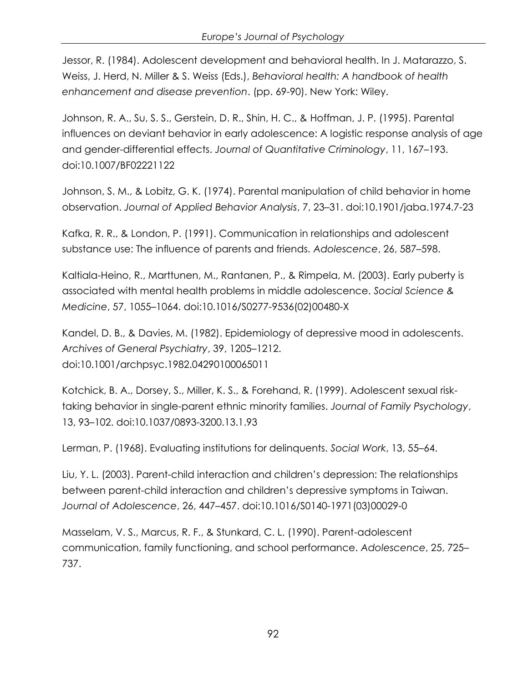Jessor, R. (1984). Adolescent development and behavioral health. In J. Matarazzo, S. Weiss, J. Herd, N. Miller & S. Weiss (Eds.), *Behavioral health: A handbook of health enhancement and disease prevention*. (pp. 69-90). New York: Wiley.

Johnson, R. A., Su, S. S., Gerstein, D. R., Shin, H. C., & Hoffman, J. P. (1995). Parental influences on deviant behavior in early adolescence: A logistic response analysis of age and gender-differential effects. *Journal of Quantitative Criminology*, 11, 167–193. [doi:10.1007/BF02221122](http://dx.doi.org/10.1007/BF02221122)

Johnson, S. M., & Lobitz, G. K. (1974). Parental manipulation of child behavior in home observation. *Journal of Applied Behavior Analysis*, 7, 23–31. [doi:10.1901/jaba.1974.7-23](http://dx.doi.org/10.1901/jaba.1974.7-23)

Kafka, R. R., & London, P. (1991). Communication in relationships and adolescent substance use: The influence of parents and friends. *Adolescence*, 26, 587–598.

Kaltiala-Heino, R., Marttunen, M., Rantanen, P., & Rimpela, M. (2003). Early puberty is associated with mental health problems in middle adolescence. *Social Science & Medicine*, 57, 1055–1064. [doi:10.1016/S0277-9536\(02\)00480-X](http://dx.doi.org/10.1016/S0277-9536(02)00480-X)

Kandel, D. B., & Davies, M. (1982). Epidemiology of depressive mood in adolescents. *Archives of General Psychiatry*, 39, 1205–1212. [doi:10.1001/archpsyc.1982.04290100065011](http://dx.doi.org/10.1001/archpsyc.1982.04290100065011)

Kotchick, B. A., Dorsey, S., Miller, K. S., & Forehand, R. (1999). Adolescent sexual risktaking behavior in single-parent ethnic minority families. *Journal of Family Psychology*, 13, 93–102. [doi:10.1037/0893-3200.13.1.93](http://dx.doi.org/10.1037/0893-3200.13.1.93)

Lerman, P. (1968). Evaluating institutions for delinquents. *Social Work*, 13, 55–64.

Liu, Y. L. (2003). Parent-child interaction and children"s depression: The relationships between parent-child interaction and children"s depressive symptoms in Taiwan. *Journal of Adolescence*, 26, 447–457. [doi:10.1016/S0140-1971\(03\)00029-0](http://dx.doi.org/10.1016/S0140-1971(03)00029-0)

Masselam, V. S., Marcus, R. F., & Stunkard, C. L. (1990). Parent-adolescent communication, family functioning, and school performance. *Adolescence*, 25, 725– 737.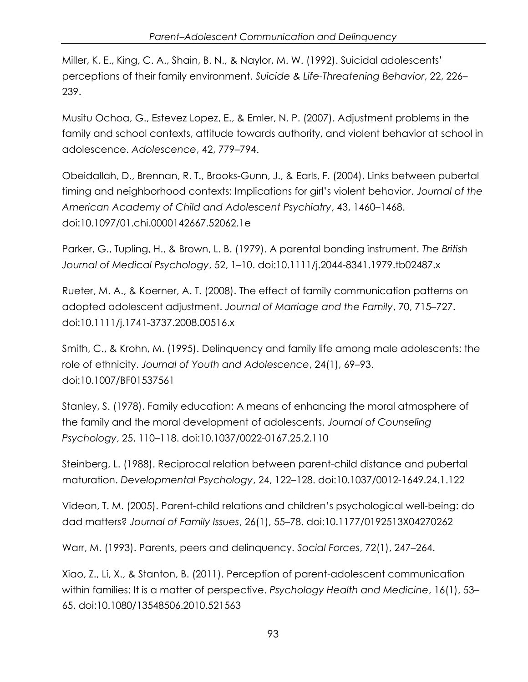Miller, K. E., King, C. A., Shain, B. N., & Naylor, M. W. (1992). Suicidal adolescents" perceptions of their family environment. *Suicide & Life-Threatening Behavior*, 22, 226– 239.

Musitu Ochoa, G., Estevez Lopez, E., & Emler, N. P. (2007). Adjustment problems in the family and school contexts, attitude towards authority, and violent behavior at school in adolescence. *Adolescence*, 42, 779–794.

Obeidallah, D., Brennan, R. T., Brooks-Gunn, J., & Earls, F. (2004). Links between pubertal timing and neighborhood contexts: Implications for girl"s violent behavior. *Journal of the American Academy of Child and Adolescent Psychiatry*, 43, 1460–1468. [doi:10.1097/01.chi.0000142667.52062.1e](http://dx.doi.org/10.1097/01.chi.0000142667.52062.1e)

Parker, G., Tupling, H., & Brown, L. B. (1979). A parental bonding instrument. *The British Journal of Medical Psychology*, 52, 1–10. [doi:10.1111/j.2044-8341.1979.tb02487.x](http://dx.doi.org/10.1111/j.2044-8341.1979.tb02487.x)

Rueter, M. A., & Koerner, A. T. (2008). The effect of family communication patterns on adopted adolescent adjustment. *Journal of Marriage and the Family*, 70, 715–727. [doi:10.1111/j.1741-3737.2008.00516.x](http://dx.doi.org/10.1111/j.1741-3737.2008.00516.x)

Smith, C., & Krohn, M. (1995). Delinquency and family life among male adolescents: the role of ethnicity. *Journal of Youth and Adolescence*, 24(1), 69–93. [doi:10.1007/BF01537561](http://dx.doi.org/10.1007/BF01537561)

Stanley, S. (1978). Family education: A means of enhancing the moral atmosphere of the family and the moral development of adolescents. *Journal of Counseling Psychology*, 25, 110–118. [doi:10.1037/0022-0167.25.2.110](http://dx.doi.org/10.1037/0022-0167.25.2.110)

Steinberg, L. (1988). Reciprocal relation between parent-child distance and pubertal maturation. *Developmental Psychology*, 24, 122–128. [doi:10.1037/0012-1649.24.1.122](http://dx.doi.org/10.1037/0012-1649.24.1.122)

Videon, T. M. (2005). Parent-child relations and children"s psychological well-being: do dad matters? *Journal of Family Issues*, 26(1), 55–78. [doi:10.1177/0192513X04270262](http://dx.doi.org/10.1177/0192513X04270262)

Warr, M. (1993). Parents, peers and delinquency. *Social Forces*, 72(1), 247–264.

Xiao, Z., Li, X., & Stanton, B. (2011). Perception of parent-adolescent communication within families: It is a matter of perspective. *Psychology Health and Medicine*, 16(1), 53– 65. [doi:10.1080/13548506.2010.521563](http://dx.doi.org/10.1080/13548506.2010.521563)